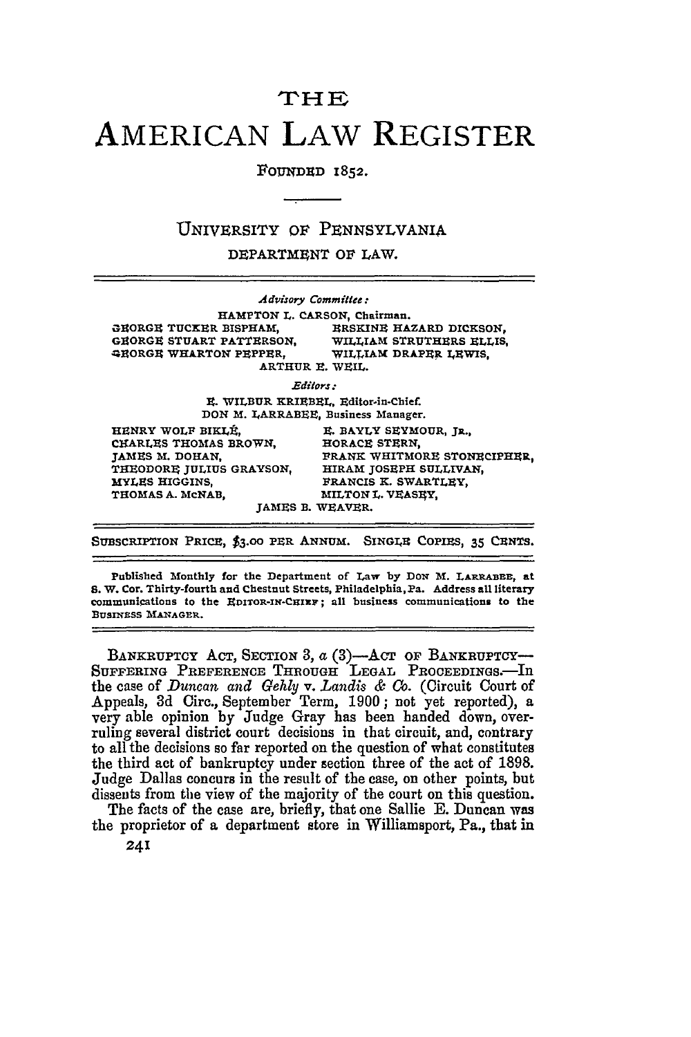## **THE** AMERICAN LAW REGISTER

**ROUNDUD** 1852.

## UNIVERSITY OF PENNSYLVANIA

DEPARTMENT OF LAW.

|                                 | Advisory Committee:                 |
|---------------------------------|-------------------------------------|
|                                 | HAMPTON L. CARSON, Chairman.        |
| <b>GHORGH TUCKER BISPHAM,</b>   | <b>ERSKINE HAZARD DICKSON.</b>      |
| <b>GEORGE STUART PATTERSON.</b> | WILLIAM STRUTHERS ELLIS.            |
| GRORGE WHARTON PEPPER.          | WILLIAM DRAPER LEWIS.               |
|                                 | ARTHUR E. WEIL.                     |
|                                 | Editors :                           |
|                                 | E. WILBUR KRIEBEL, Editor-in-Chief. |
|                                 | DON M. LARRABEE, Business Manager.  |
| HENRY WOLF BIKLÉ.               | E. BAYLY SEYMOUR, JR.,              |
| CHARLES THOMAS BROWN.           | HORACE STERN.                       |
| JAMES M. DOHAN.                 | FRANK WHITMORE STONECIPHER.         |
| THEODORE JULIUS GRAYSON,        | HIRAM JOSEPH SULLIVAN,              |
| <b>MYLES HIGGINS.</b>           | FRANCIS K. SWARTLEY,                |
| THOMAS A. MCNAB.                | MILTON L. VEASEY,                   |
|                                 | <b>JAMES B. WEAVER.</b>             |
|                                 |                                     |

SUBSCRIPTION PRICE, \$3.00 PER ANNUM. SINGLE COPIES, 35 CENTS.

Published 'Monthly for the Department of Law by DON **'M. LARRABE,** at **S.** W. Cor. Thirty-fourth and Chestnut Streets, Philadelphia,Pa. Address all literary communications to the **EDITOR-IN-CIEaF;** all business communications to the BUSINESS MANAGER.

BANKRUPTCY ACT, SECTION 3,  $a(3)$ --ACT OF BANKRUPTCY **SUFFERING PREFERENCE THROUGH LEGAL PROCEEDINGS-In** the case of *Duncan and Gehly* v. *Landis & Co.* (Circuit Court of Appeals, **3d** Circ., September Term, **1900;** not yet reported), a very able opinion **by** Judge Gray has been handed down, overruling several district court decisions in that circuit, and, contrary to all the decisions so far reported on the question of what constitutes the third act of bankruptcy under section three of the act of **1898.** Judge Dallas **concurs** in the result of the case, on other points, but dissents from the view of the majority of the court on this question.

The facts of the case are, briefly, that one Sallie **E.** Duncan **was** the proprietor of a department store in Williamsport, Pa., that **in**

241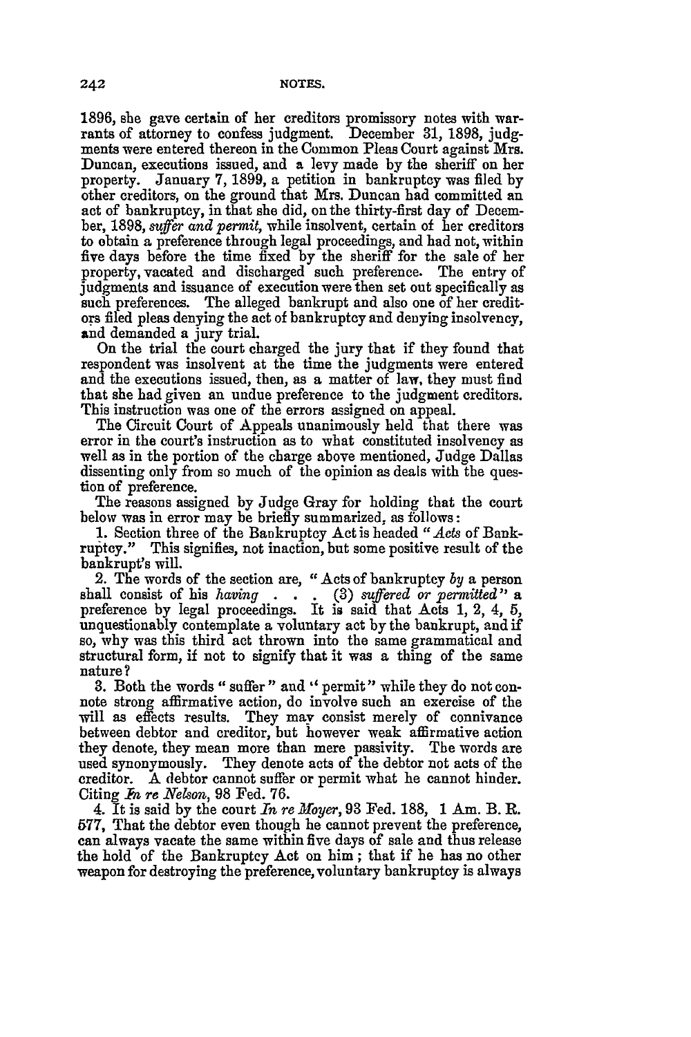**1896,** she gave certain of her creditors promissory notes with warrants of attorney to confess judgment. December **31, 1898, judg**ments were entered thereon in the Common Pleas Court against Mrs. Duncan, executions issued, and a levy made **by** the sheriff on her property. January **7, 1899,** a petition in bankruptcy was filed **by** other creditors, on the ground that Mrs. Duncan had committed an act of bankruptcy, in that she did, on the thirty-first day of December, **1898,** *suffer and permit,* while insolvent, certain of her creditors to obtain a preference through legal proceedings, and had not, within five days before the time fixed **by** the sheriff for the sale of her property, vacated and discharged such preference. The entry of judgments and issuance of execution were then set out specifically as such preferences. The alleged bankrupt and also one of her creditors filed pleas denying the act of bankruptcy and denying insolvency, and demanded a jury trial.

On the trial the court charged the jury that if they found that respondent was insolvent at the time the judgments were entered and the executions issued, then, as a matter of law, they must find that she **had** given an undue preference to the judgment creditors. This instruction was one of the errors assigned on appeal.

The Circuit Court of Appeals unanimously held that there was error in the court's instruction as to what constituted insolvency as well as in the portion of the charge above mentioned, Judge Dallas dissenting only from so much of the opinion as deals with the question of preference.

The reasons assigned **by** Judge Gray for holding that the court below was in error may be briefly summarized, as follows:

1. Section three of the Bankruptcy Act is headed *"Acts* of Bank-This signifies, not inaction, but some positive result of the bankrupt's will.

2. The words of the section are, "Acts of bankruptcy *by* a person shall consist of his *having* . . **(3)** *suffered or permited"* <sup>a</sup> preference by legal proceedings. It is said that Acts 1, 2, 4, 5, unquestionably contemplate a voluntary act **by** the bankrupt, and if so, why was this third act thrown into the same grammatical and structural form, if not to signify that it was a thing of the same nature?

**3.** Both the words "suffer" and "permit" while they do not connote strong affirmative action, do involve such an exercise of the will as effects results. They may consist merely of connivance between debtor and creditor, but however weak affirmative action they denote, they mean more than mere passivity. The words are used synonymously. They denote acts of the debtor not acts of the creditor. A debtor cannot suffer or permit what he cannot hinder. Citing R *re Nelson,* 98 Fed. **76.**

4. It is said by the court *In re Moyer,* 93 Fed. 188, 1 Am. B. R. 577, That the debtor even though he cannot prevent the preference, can always vacate the same within five days of sale and thus release the hold of the Bankruptcy Act on him; that if he has no other weapon for destroying the preference, voluntary bankruptcy is always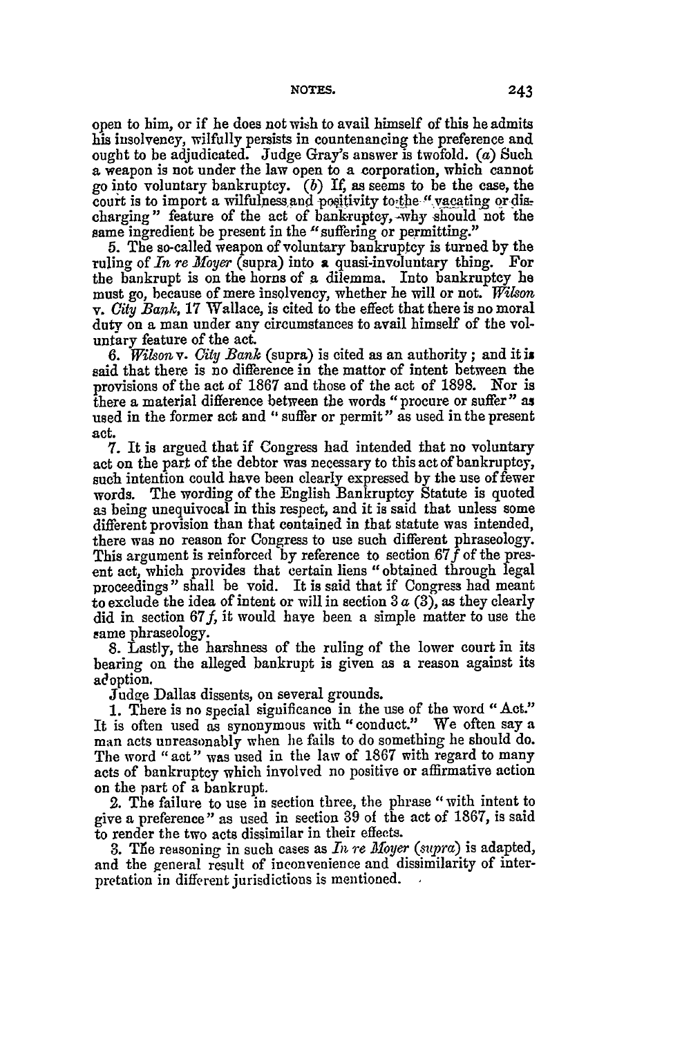open to him, or if he does not wish to avail himself of this he admits his insolvency, wilfully persists in countenancing the preference and ought to be adjudicated. Judge Gray's answer is twofold. (a) Such a weapon is not under the law open to a corporation, which cannot go into voluntary bankruptcy. *(b) If,* as seems to be the case, the court is to import a wilfulness and positivity to the " vacating or discharging" feature of the act of bank-ruptcy, -why should not the same ingredient be present in the "suffering or permitting."

5. The so-called weapon of voluntary bankruptcy is turned by the ruling of *In re Moyer* (supra) into a quasi-involuntary thing. For the bankrupt is on the horns of a dilemma. Into bankruptcy **be** must go, because of mere insolvency, whether he will or not. *Wilson v. City Bank,* 17 Wallace, is cited to the effect that there is no moral duty on a man under any circumstances to avail himself of the voluntary feature of the act.

*6. Wilson v. City Bank* (supra) is cited as an authority; and it **is** said that there is no difference in the mattor of intent between the provisions of the act of 1867 and those of the act of 1898. Nor is there a material difference between the words "procure or suffer" as used in the former act and "suffer or permit" as used in the present act.

7. It is argued that if Congress had intended that no voluntary act on the part of the debtor was necessary to this act of bankruptcy, such intention could have been clearly expressed by the use of fewer words. The wording of the English Bankruptcy Statute is quoted as being unequivocal in this respect, and it is said that unless some different provision than that contained in that statute was intended, there was no reason for Congress to use such different phraseology. This argument is reinforced by reference to section  $67f$  of the present act, which provides that certain liens "obtained through legal proceedings" shall be void. It is said that if Congress had meant to exclude the idea of intent or will in section 3  $a(3)$ , as they clearly did in section  $67f$ , it would have been a simple matter to use the same phraseology.

8. Lastly, the harshness of the ruling of the lower court in its bearing on the alleged bankrupt is given as a reason against its adoption.

Judge Dallas dissents, on several grounds.

1. There is no special significance in the use of the word "Act." It is often used as synonymous with "conduct." We often say a man acts unreasonably when he fails to do something he should do. The word "act" was used in the law of 1867 with regard to many acts of bankruptcy which involved no positive or affirmative action on the part of a bankrupt.

2. The failure to use in section three, the phrase "with intent to give **a** preference" as used in section 39 of the act of 1867, is said to render the two acts dissimilar in their effects.

3. The reasoning in such cases as *In re Moyer (supra)* is adapted, and the general result of inconvenience and dissimilarity of interpretation in different jurisdictions is mentioned.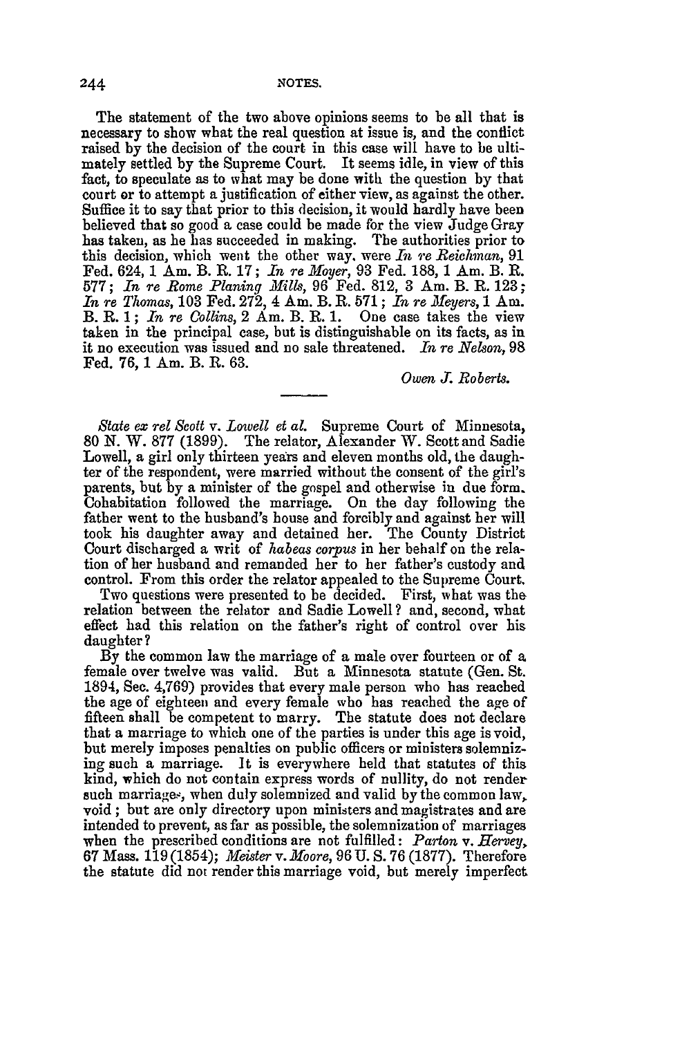**NOTES.**

The statement of the two above opinions seems to be all that is necessary to show what the real question at issue is, and the conflict raised by the decision of the court in this case will have to be ultimately settled by the Supreme Court. It seems idle, in view of this fact, to speculate as to what may be done with the question by that court or to attempt a justification of either view, as against the other. Suffice it to say that prior to this decision, it would hardly have been believed that so good a case could be made for the view Judge Gray has taken, as he has succeeded in making. The authorities prior to this decision, which went the other way. were *In re Reichman,* 91 Fed. 624, 1 Am. B. R. **17;** *In* re *Moyer,* 93 Fed. 188, 1 Am. B. R. 577; *In re Rome Planing Mills*, 96 Fed. 812, 3 Am. B. R. 123 *In re Thomas,* **103** Fed. 272, 4 Am. B. R. 571; *In re Meyers,* 1 Am. B. R. 1; *In re Collins,* 2 Am. B. R. 1. One case takes the view taken in the principal case, but is distinguishable on its facts, as in it no execution was issued and no sale threatened. *In re Nelson,* 98 Fed. 76, 1 Am. B. R. 63.

*Owen J. Roberts.*

*State ez rel Scott v. Lowell et al.* Supreme Court of Minnesota, 80 N. W. 877 (1899). The relator, Alexander W. Scott and Sadie Lowell, a girl only thirteen years and eleven months old, the daughter of the respondent, were married without the consent of the girl's parents, but by a minister of the gospel and otherwise in due form. Cohabitation followed the marriage. On the day following the father went to the husband's house and forcibly and against her will took his daughter away and detained her. The County District Court discharged a writ of *habeas corpus* in her behalf on the relation of her husband and remanded her to her father's custody and control. From this order the relator appealed to the Supreme Court.

Two questions were presented to be decided. First, what was the relation between the relator and Sadie Lowell ? and, second, what effect had this relation on the father's right of control over his daughter?

By the common law the marriage of a male over fourteen or of a female over twelve was valid. But a Minnesota statute (Gen. St. 1894, See. 4,769) provides that every male person who has reached the age of eighteen and every female who has reached the age of fifteen shall be competent to marry. The statute does not declare that a marriage to which one of the parties is under this age is void, but merely imposes penalties on public officers or ministers solemnizing such a marriage. It is everywhere held that statutes of this kind, which do not contain express words of nullity, do not render such marriages, when duly solemnized and valid by the common law, void ; but are only directory upon ministers and magistrates and are intended to prevent, as far as possible, the solemnization of marriages when the prescribed conditions are not fulfilled: *Parton v. Hervey,* 67 Mass. 119 (1854); *Meister v. Moore,* 96 U. **S.** 76 (1877). Therefore the statute did not render this marriage void, but merely imperfect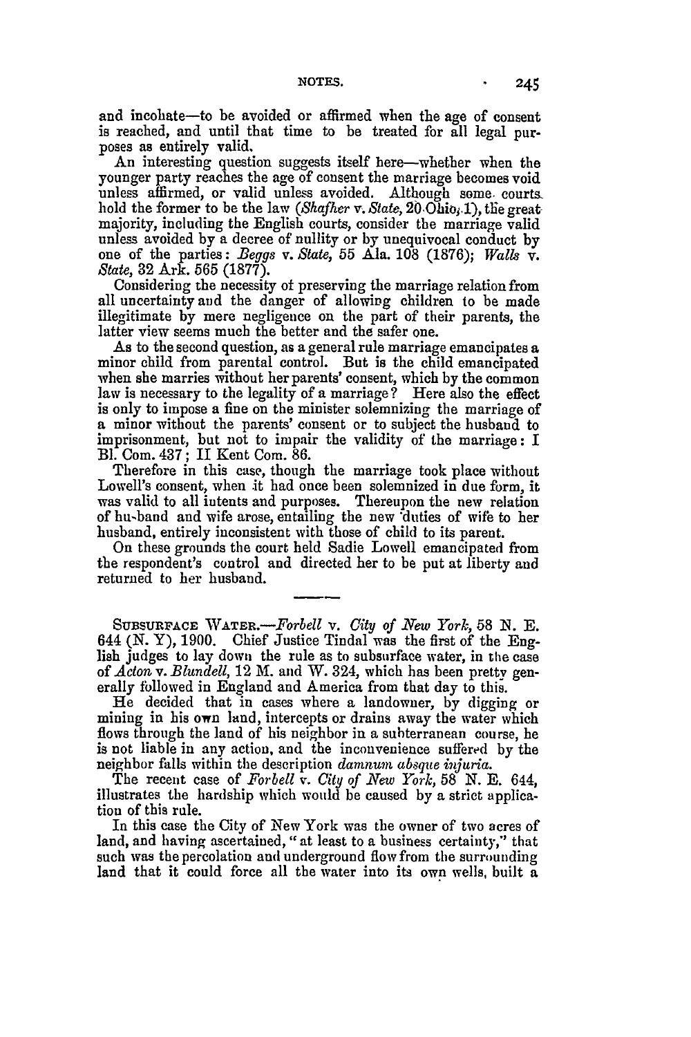and incohate-to be avoided or affirmed when the age of consent is reached, and until that time to be treated for all legal purposes as entirely valid.

An interesting question suggests itself here—whether when the younger party reaches the age of consent the marriage becomes void unless affirmed, or valid unless avoided. Although some, courts hold the former to be the law *(Shafher v. State, 20* Ohio<sub>f</sub>.1), the great majority, including the English courts, consider the marriage valid unless avoided by a decree of nullity or by unequivocal conduct by one of the parties: Beggs v. *State,* 55 Ala. 108 (1876); *Walls* v. *State,* 32 Ark. 565 (1877).

Considering the necessity of preserving the marriage relation from all uncertainty and the danger of allowing children to be made illegitimate by mere negligence on the part of their parents, the latter view seems much the better and the safer one.

As to the second question, as a general rule marriage emancipates a minor child from parental control. But is the child emancipated when she marries without her parents' consent, which by the common **law** is necessary to the legality of a marriage? Here also the effect is only to impose a fine on the minister solemnizing the marriage of a minor without the parents' consent or to subject the husband to imprisonment, but not to impair the validity of the marriage: I Bl. Com. 437; I Kent Com. 86.

Therefore in this case, though the marriage took place without Lowell's consent, when it had once been solemnized in due form, it was valid to all intents and purposes. Thereupon the new relation of hu-band and wife arose, entailing the new \*duties of wife to her husband, entirely inconsistent with those of child to its parent.

On these grounds the court held Sadie Lowell emancipated from the respondent's control and directed her to be put at liberty and returned to her husband.

**SUBSUR'ACE** *WATR.-Forbell* v. *City of New York,* 58 *N.* **E.** 644 (N. Y), 1900. Chief Justice Tindal was the first of the English judges to lay down the rule as to subsurface water, in the case *of Acton v. Blundell,* 12 M. and W. 324, which has been pretty generally followed in England and America from that day to this.

He decided that in cases where a landowner, by digging or mining in his own land, intercepts or drains away the water which flows through the land of his neighbor in a subterranean course, he is not liable in any action, and the inconvenience suffered by the neighbor falls within the description *damnum absque injuria.*

The recent case of *Forbell v. City of New York,* 58 N. E. 644, illustrates the hardship which would be caused by a strict application of this rule.

In this case the City of New York was the owner of two acres of land, and having ascertained, "at least to a business certainty," that such was the percolation and underground flow from the surrounding land that it could force all the water into its own wells, built a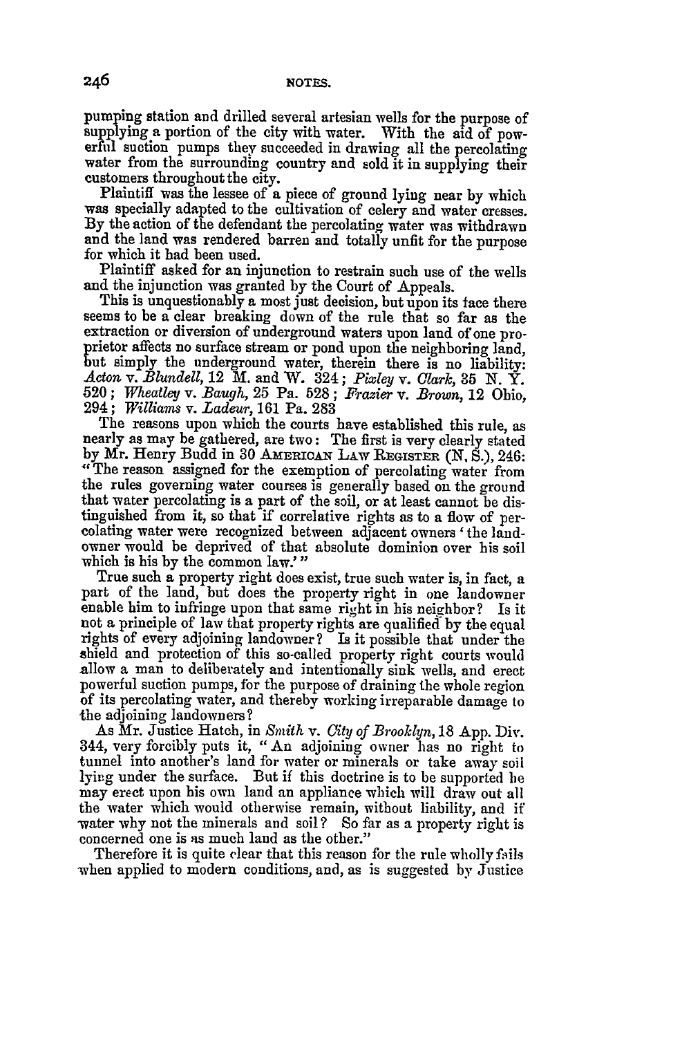pumping station and drilled several artesian wells for the purpose of supplying a portion of the city with water. With the aid of powerful suction pumps they succeeded in drawing all the percolating water from the surrounding country and sold it in supplying their customers throughout the city.

Plaintiff was the lessee of a piece of ground **lying** near **by** which was specially adapted to the cultivation of celery and water cresses. **By** the action of the defendant the percolating water was withdrawn and the land was rendered barren and totally unfit for the purpose for which it had been used.

Plaintiff asked for an injunction to restrain such use of the wells and the injunction was granted **by** the Court of Appeals.

This is unquestionably a most just decision, but upon its face there seems to be a clear breaking down of the rule that so far as the extraction or diversion of underground waters upon land of one pro- prietor affects no surface stream or pond upon the neighboring land, but simply the underground water, therein there is no liability: *Acton* v. *Blundell,* 12 M. and W. 324; *Pixley v. Clark,* 35 N. Y. 520; *Wheatley v. .Baugh,* 25 Pa. 528; *Frazier* v. *Brown,* 12 Ohio, 294; *Williams* v. *Ladeur,* 161 Pa. 283

The reasons upon which the courts have established this rule, as nearly as may be gathered, are two: The first is very clearly stated by Mr. Henry Budd in 30 AMERICAN LAW REGISTER (N. S.), 246: " The reason assigned for the exemption of percolating water from the rules governing water courses is generally based on the ground that water percolating is a part of the soil, or at least cannot be distinguished from it, so that if correlative rights as to a flow of per- colating water were recognized between adjacent owners 'the landowner would be deprived of that absolute dominion over his soil which is his **by** the common law.'"

True such a property right does exist, true such water is, in fact, a part of the land, but does the property right in one landowner enable him to infringe upon that same right in his neighbor? Is it not a principle of law that property rights are qualified by the equal rights of every adjoining landowner? Is it possible that under the shield and protection of this so-called property right courts would allow a man to deliberately and intentionally sink wells, and erect powerful suction pumps, for the purpose of draining the whole region of its percolating water, and thereby working irreparable damage to the adjoining landowners?

As Mr. Justice Hatch, in *Smith v. City of Brooklyn,* 18 App. Div. 344, very forcibly puts it, "An adjoining owner has no right to tunnel into another's land for water or minerals or take away soil lying under the surface. But if this doctrine is to be supported he may erect upon his own land an appliance which will draw out all the water which would otherwise remain, without liability, and if water why not the minerals and soil? So far as a property right is concerned one is as much land as the other."

Therefore it is quite clear that this reason for the rule wholly fails when applied to modern conditions, and, as is suggested by Justice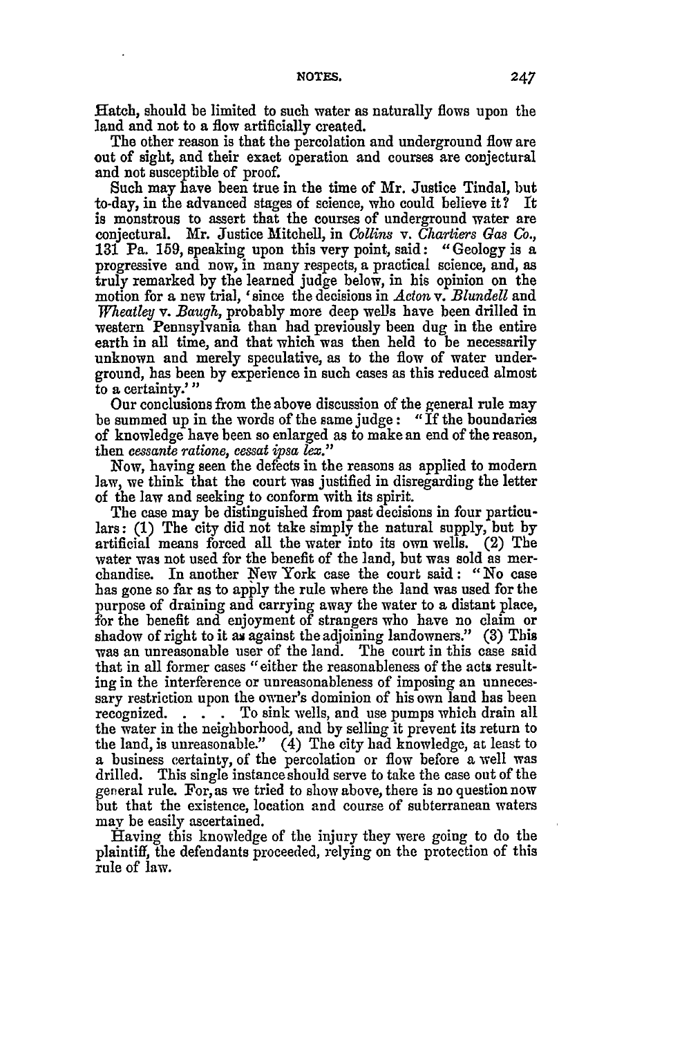Hatch, should be limited to such water as naturally flows upon the land and not to a flow artificially created.

The other reason is that the percolation and underground flow are out of sight, and their exact operation and courses are conjectural and not susceptible of proof.

Such may have been true in the time of Mr. Justice Tindal, but to-day, in the advanced stages of science, who could believe it? It is monstrous to assert that the courses of underground water are conjectural. Mr. Justice Mitchell, in *Collins v. Chartiers Gas Co.,* **131** Pa. 159, speaking upon this very point, said: "Geology is a progressive and now, in many respects, a practical science, and, as truly remarked by the learned judge below, in his opinion on the motion for a new trial, ' since the decisions in *Acton* v. *Blundell* and *Wheatley v. Baugh,* probably more deep wells have been drilled in western Pennsylvania than **had** previously been dug in the entire earth in all time, and that which was then held to be necessarily unknown and merely speculative, as to the flow of water underground, has been by experience in such cases as this reduced almost to a certainty.'"

Our conclusions from the above discussion of the general rule may be summed up in the words of the same judge: "If the boundaries of knowledge have been so enlarged as to make an end of the reason, then *cessante ratione, eessat ipsa lex."*

Now, having seen the defects in the reasons as applied to modern law, we think that the court was justified in disregarding the letter of the law and seeking to conform with its spirit.

The case may be distinguished from past decisions in four particulars: (1) The city did not take simply the natural supply, but **by** artificial means forced all the water into its own wells. (2) The water was not used for the benefit of the land, but was sold as merchandise. In another New York case the court said: "No case has gone so far as to apply the rule where the land was used for the purpose of draining and carrying away the water to a distant place, for the benefit and enjoyment of strangers who have no claim or shadow of right to it as against the adjoining landowners." (3) This was an unreasonable user of the land. The court in this case said that in all former cases "either the reasonableness of the acts resulting in the interference or unreasonableness of imposing an unnecessary restriction upon the owner's dominion of his own land has been recognized. **. .** . To sink wells, and use pumps which drain all the water in the neighborhood, and by selling it prevent its return to the land, is unreasonable." (4) The city had knowledge, at least to a business certainty, of the percolation or flow before a well was drilled. This single instance should serve to take the case out of the general rule. For, as we tried to show above, there is no question now but that the existence, location and course of subterranean waters may be easily ascertained.

Having this knowledge of the injury they were going to do the plaintiff, the defendants proceeded, relying on the protection of this rule of law.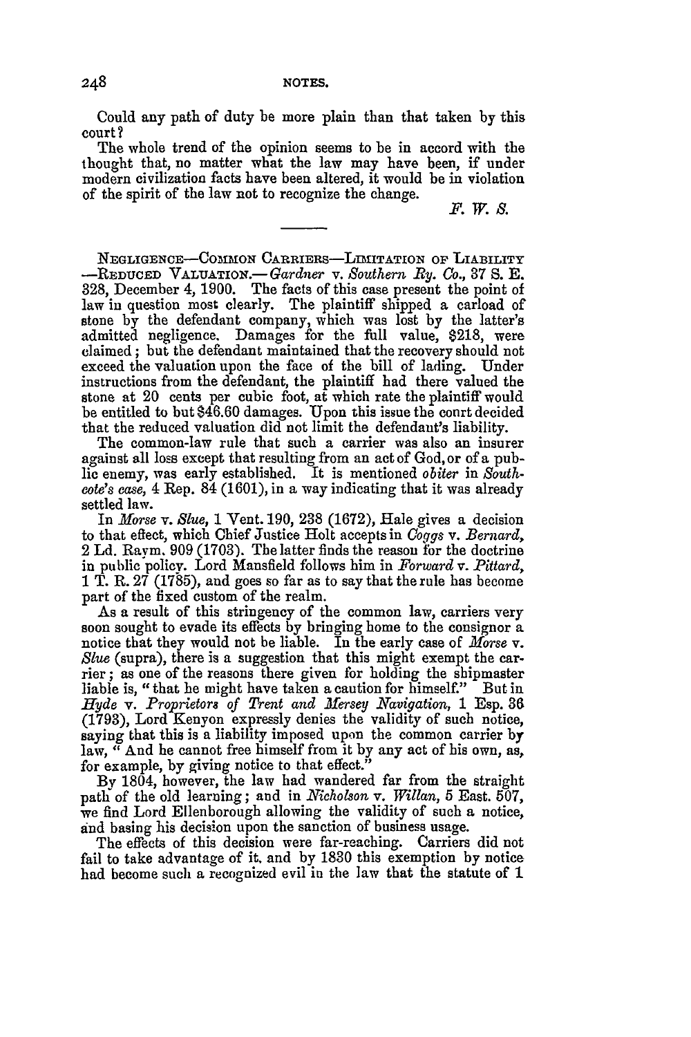Could any path of duty be more plain than that taken **by** this court?

The whole trend of the opinion seems to be in accord with the thought that, no matter what the law may have been, if under modern civilization facts have been altered, it would be in violation of the spirit of the law not to recognize the change.

*F. W. S.*

NEGLIGENCE-COSIMON CARRIERs-LmITATION **OF** LIABILITY **-REDUCED** VALUATION.-Gardner v. *Southern By. Co.,* 87 **S. E.** 328, December 4, 1900. The facts of this case present the point of law in question most clearly. The plaintiff shipped a carload of stone **by** the defendant company, which was lost **by** the latter's admitted negligence. Damages for the full value, **\$218,** were claimed; but the defendant maintained that the recovery should not exceed the valuation upon the face of the bill of lading. Under instructions from the defendant, the plaintiff had there valued the stone at 20 cents per cubic foot, at which rate the plaintiff would be entitled to but \$46.60 damages. Upon this issue the court decided that the reduced valuation did not limit the defendant's liability.

The common-law rule that such a carrier was also an insurer against all loss except that resulting from an act of God, or of a public enemy, was early established. It is mentioned *obiter* in *Southcote's ease,* 4 Rep. 84 (1601), in a way indicating that it was already settled law.

In *Morse v. Slue,* 1 Vent. 190, 238 (1672), Hale gives a decision to that effect, which Chief Justice Holt accepts in *Coggs v. Bernard,* 2 Ld. Raym. 909 (1703). The latter finds the reason for the doctrine in public policy. Lord Mansfield follows him in *Forward v. Pittard,* **1** T. R. 27 (1785), and goes so far as to say that the rule has become part of the fixed custom of the realm.

As a result of this stringency of the common law, carriers very soon sought to evade its effects by bringing home to the consignor a notice that they would not be liable. In the early case of *Morse* v. *Slve* (supra), there is a suggestion that this might exempt the carrier; as one of the reasons there given for holding the shipmaster liable is, "that he might have taken a caution for himself." But in *Hyde v. Proprietors of Trent and Mersey Navigation,* **1** Esp. **36** (1793), Lord Kenyon expressly denies the validity of such notice, saying that this is a liability imposed upon the common carrier by law, " And he cannot free himself from it by any act of his own, as, for example, by giving notice to that effect."

**By** 1804, however, the law had wandered far from the straight patl of the old learning; and in *Nicholson* v. *Willan,* 5 East. 507, we find Lord Ellenborough allowing the validity of such a notice, *and* basing his decision upon the sanction of business usage.

The effects of this decision were far-reaching. Carriers did not fail to take advantage of it. and by 1830 this exemption by notice had become such a recognized evil in the law that the statute of 1